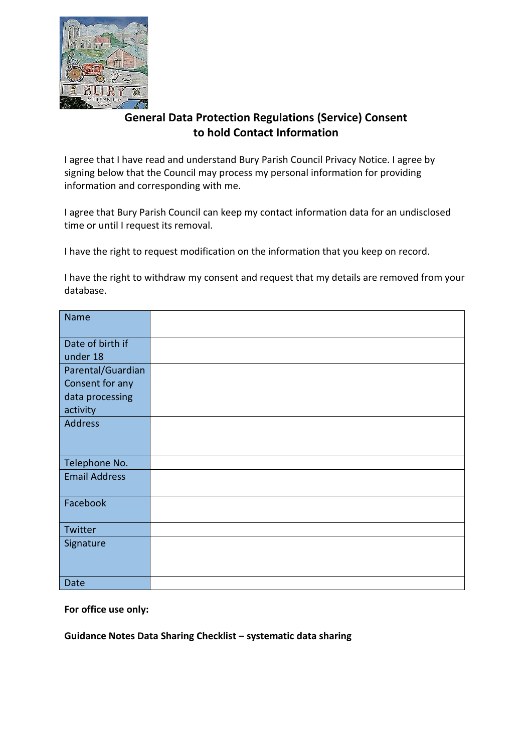

## **General Data Protection Regulations (Service) Consent to hold Contact Information**

I agree that I have read and understand Bury Parish Council Privacy Notice. I agree by signing below that the Council may process my personal information for providing information and corresponding with me.

I agree that Bury Parish Council can keep my contact information data for an undisclosed time or until I request its removal.

I have the right to request modification on the information that you keep on record.

I have the right to withdraw my consent and request that my details are removed from your database.

| <b>Name</b>          |  |
|----------------------|--|
|                      |  |
| Date of birth if     |  |
| under 18             |  |
| Parental/Guardian    |  |
| Consent for any      |  |
| data processing      |  |
| activity             |  |
| <b>Address</b>       |  |
|                      |  |
|                      |  |
| Telephone No.        |  |
| <b>Email Address</b> |  |
|                      |  |
| Facebook             |  |
|                      |  |
| Twitter              |  |
| Signature            |  |
|                      |  |
|                      |  |
| Date                 |  |

**For office use only:**

**Guidance Notes Data Sharing Checklist – systematic data sharing**